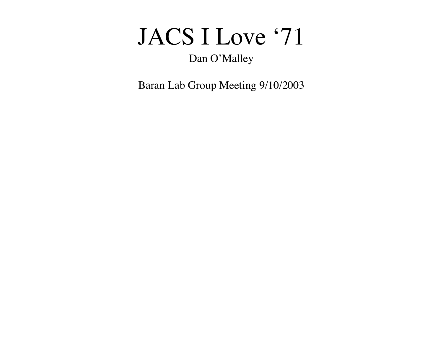## JACS I Love '71

#### Dan O'Malley

Baran Lab Group Meeting 9/10/2003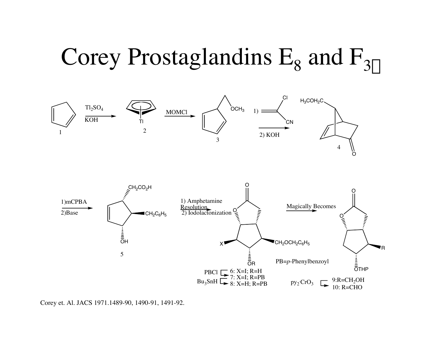# Corey Prostaglandins  $E_8$  and  $F_{3\alpha}$



Corey et. Al. JACS 1971.1489-90, 1490-91, 1491-92.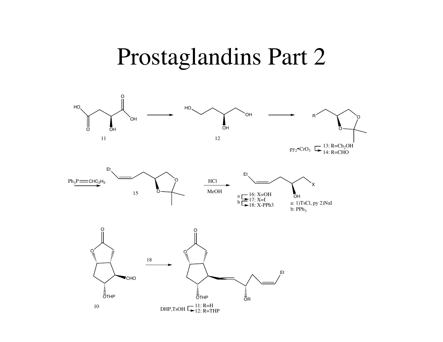#### Prostaglandins Part 2

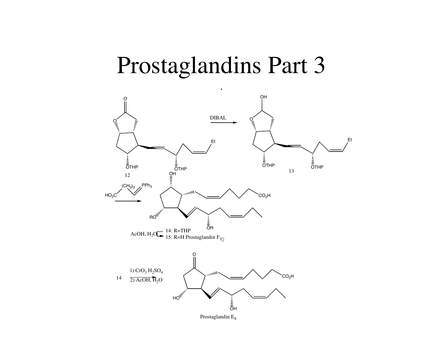### Prostaglandins Part 3

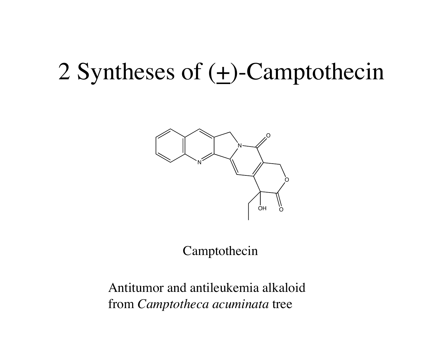# 2 Syntheses of  $(+)$ -Camptothecin



Camptothecin

Antitumor and antileukemia alkaloid from *Camptotheca acuminata* tree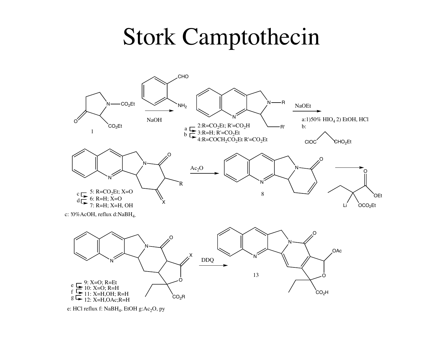## **Stork Camptothecin**

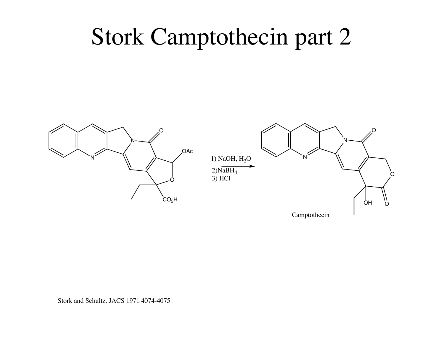## Stork Camptothecin part 2



Camptothecin

Stork and Schultz. JACS 1971 4074-4075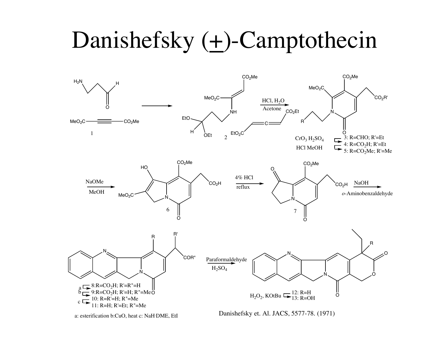# Danishefsky  $(\pm)$ -Camptothecin

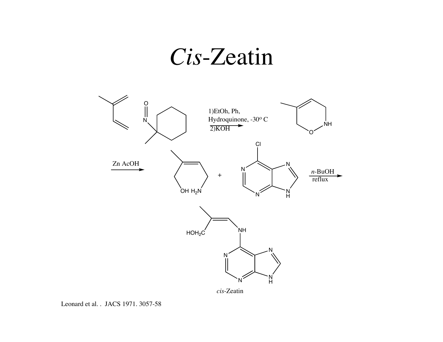## *Cis*-Zeatin



Leonard et al. . JACS 1971. 3057-58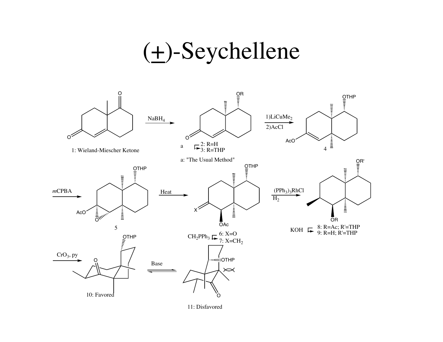## (+)-Seychellene



11: Disfavored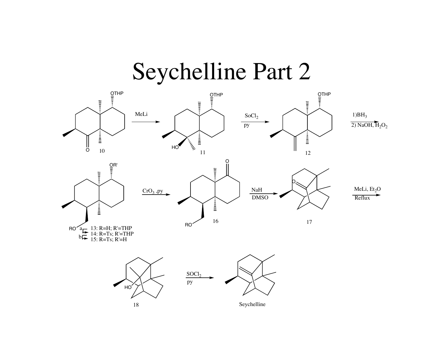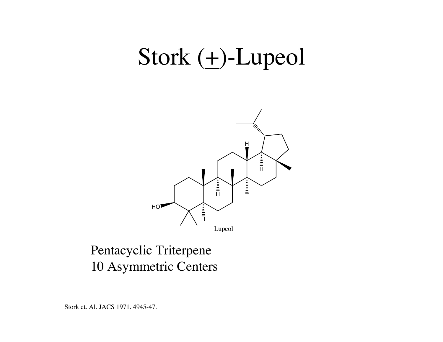## Stork  $(+)$ -Lupeol



#### Pentacyclic Triterpene 10 Asymmetric Centers

Stork et. Al. JACS 1971. 4945-47.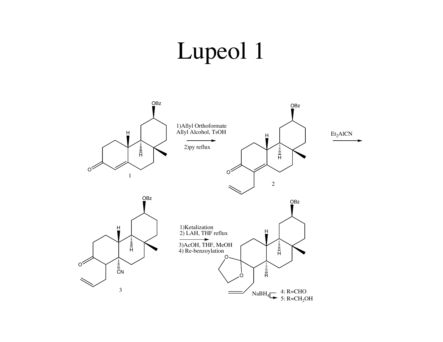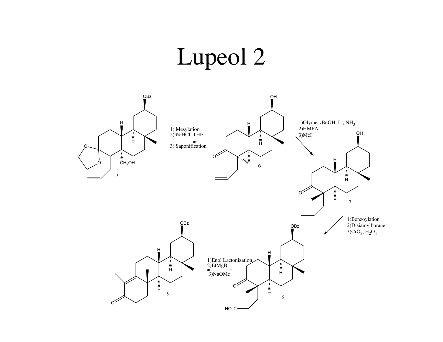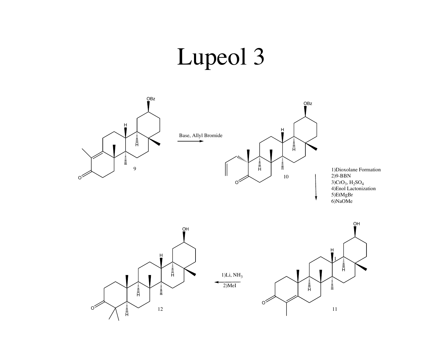

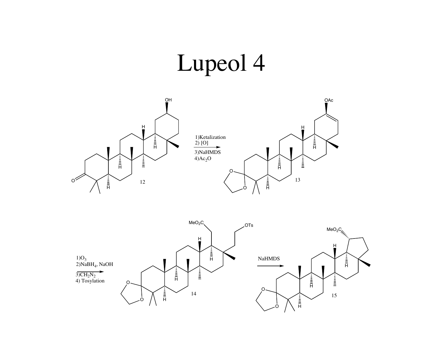

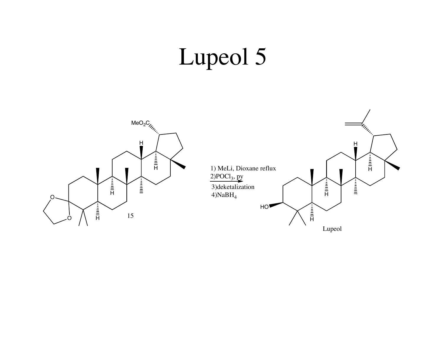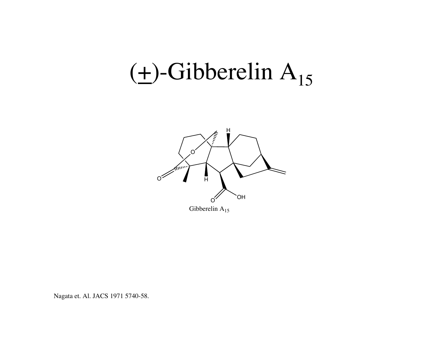# $(\pm)$ -Gibberelin A<sub>15</sub>



Nagata et. Al. JACS 1971 5740-58.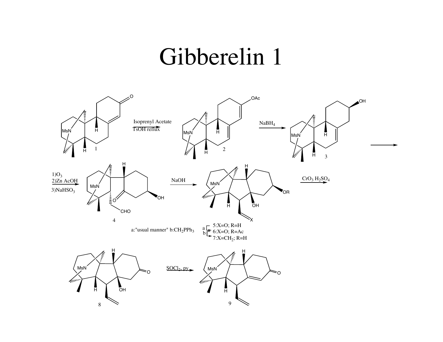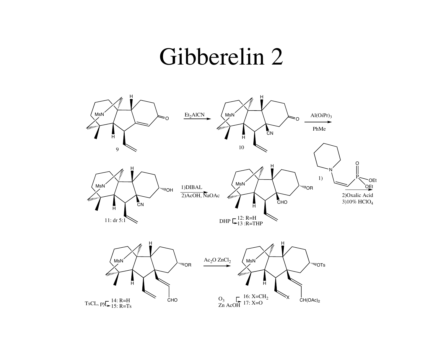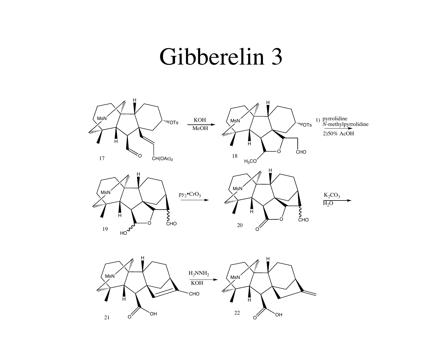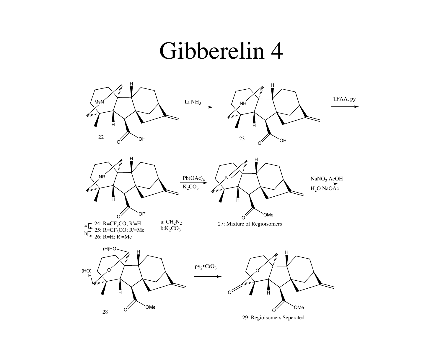

29: Regioisomers Seperated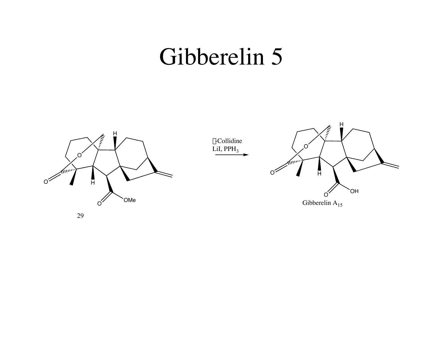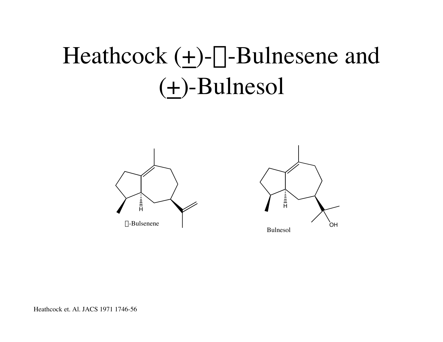# Heathcock  $(+)$ - $\alpha$ -Bulnesene and  $(\pm)$ -Bulnesol





Heathcock et. Al. JACS 1971 1746-56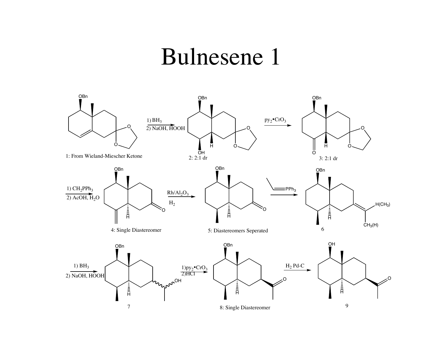#### Bulnesene 1

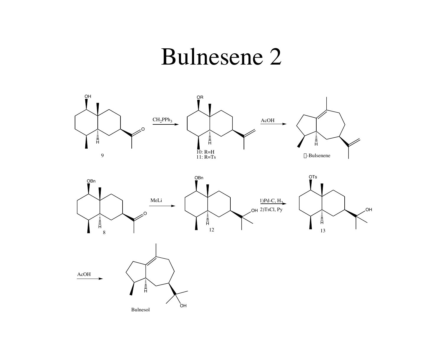## **Bulnesene 2**